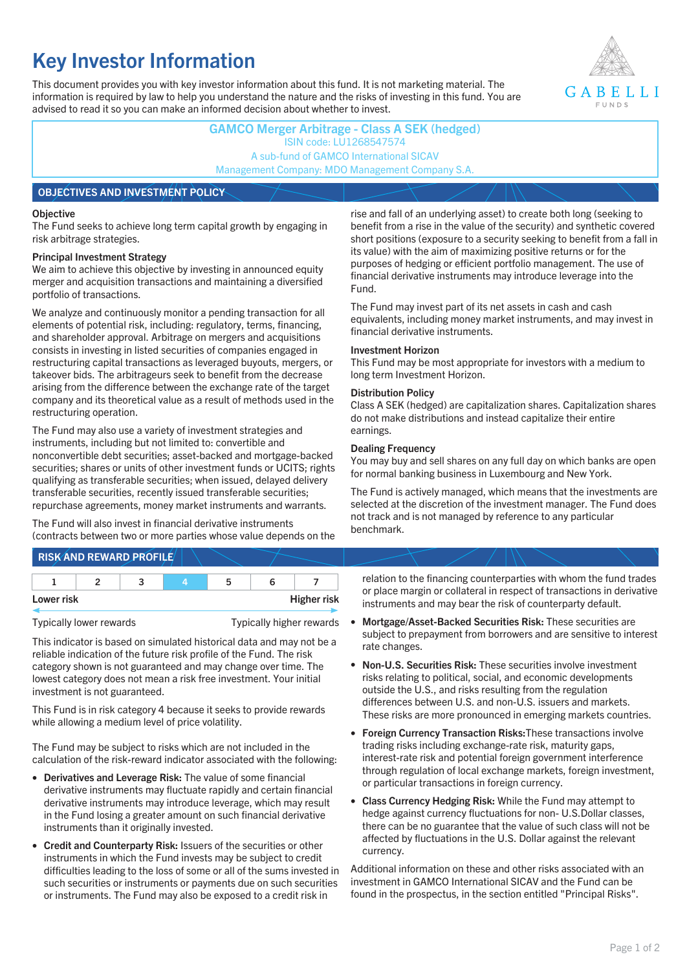# **Key Investor Information**

This document provides you with key investor information about this fund. It is not marketing material. The information is required by law to help you understand the nature and the risks of investing in this fund. You are advised to read it so you can make an informed decision about whether to invest.



# **GAMCO Merger Arbitrage - Class A SEK (hedged)** ISIN code: LU1268547574 A sub-fund of GAMCO International SICAV Management Company: MDO Management Company S.A. **OBJECTIVES AND INVESTMENT POLICY**

#### **Objective**

The Fund seeks to achieve long term capital growth by engaging in risk arbitrage strategies.

#### **Principal Investment Strategy**

We aim to achieve this objective by investing in announced equity merger and acquisition transactions and maintaining a diversified portfolio of transactions.

We analyze and continuously monitor a pending transaction for all elements of potential risk, including: regulatory, terms, financing, and shareholder approval. Arbitrage on mergers and acquisitions consists in investing in listed securities of companies engaged in restructuring capital transactions as leveraged buyouts, mergers, or takeover bids. The arbitrageurs seek to benefit from the decrease arising from the difference between the exchange rate of the target company and its theoretical value as a result of methods used in the restructuring operation.

The Fund may also use a variety of investment strategies and instruments, including but not limited to: convertible and nonconvertible debt securities; asset-backed and mortgage-backed securities; shares or units of other investment funds or UCITS; rights qualifying as transferable securities; when issued, delayed delivery transferable securities, recently issued transferable securities; repurchase agreements, money market instruments and warrants.

The Fund will also invest in financial derivative instruments (contracts between two or more parties whose value depends on the

**RISK AND REWARD PROFILE**

| Lower risk |  |  | <b>Higher risk</b> |
|------------|--|--|--------------------|

Typically lower rewards Typically higher rewards

This indicator is based on simulated historical data and may not be a reliable indication of the future risk profile of the Fund. The risk category shown is not guaranteed and may change over time. The lowest category does not mean a risk free investment. Your initial investment is not guaranteed.

This Fund is in risk category 4 because it seeks to provide rewards while allowing a medium level of price volatility.

The Fund may be subject to risks which are not included in the calculation of the risk-reward indicator associated with the following:

- **Derivatives and Leverage Risk:** The value of some financial derivative instruments may fluctuate rapidly and certain financial derivative instruments may introduce leverage, which may result in the Fund losing a greater amount on such financial derivative instruments than it originally invested.
- **Credit and Counterparty Risk:** Issuers of the securities or other instruments in which the Fund invests may be subject to credit difficulties leading to the loss of some or all of the sums invested in such securities or instruments or payments due on such securities or instruments. The Fund may also be exposed to a credit risk in

rise and fall of an underlying asset) to create both long (seeking to benefit from a rise in the value of the security) and synthetic covered short positions (exposure to a security seeking to benefit from a fall in its value) with the aim of maximizing positive returns or for the purposes of hedging or efficient portfolio management. The use of financial derivative instruments may introduce leverage into the Fund.

The Fund may invest part of its net assets in cash and cash equivalents, including money market instruments, and may invest in financial derivative instruments.

#### **Investment Horizon**

This Fund may be most appropriate for investors with a medium to long term Investment Horizon.

#### **Distribution Policy**

Class A SEK (hedged) are capitalization shares. Capitalization shares do not make distributions and instead capitalize their entire earnings.

#### **Dealing Frequency**

You may buy and sell shares on any full day on which banks are open for normal banking business in Luxembourg and New York.

The Fund is actively managed, which means that the investments are selected at the discretion of the investment manager. The Fund does not track and is not managed by reference to any particular benchmark.

relation to the financing counterparties with whom the fund trades or place margin or collateral in respect of transactions in derivative instruments and may bear the risk of counterparty default.

- **Mortgage/Asset-Backed Securities Risk:** These securities are subject to prepayment from borrowers and are sensitive to interest rate changes.
- **Non-U.S. Securities Risk:** These securities involve investment risks relating to political, social, and economic developments outside the U.S., and risks resulting from the regulation differences between U.S. and non-U.S. issuers and markets. These risks are more pronounced in emerging markets countries.
- **Foreign Currency Transaction Risks:**These transactions involve trading risks including exchange-rate risk, maturity gaps, interest-rate risk and potential foreign government interference through regulation of local exchange markets, foreign investment, or particular transactions in foreign currency.
- **Class Currency Hedging Risk:** While the Fund may attempt to hedge against currency fluctuations for non- U.S.Dollar classes, there can be no guarantee that the value of such class will not be affected by fluctuations in the U.S. Dollar against the relevant currency.

Additional information on these and other risks associated with an investment in GAMCO International SICAV and the Fund can be found in the prospectus, in the section entitled "Principal Risks".